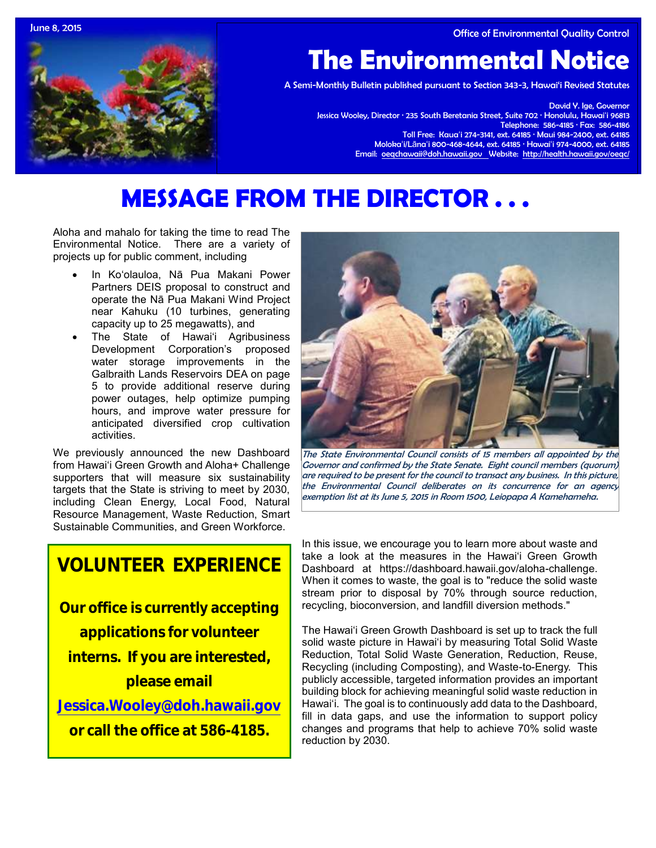June 8, 2015 Office of Environmental Quality Control



# **The Environmental Notice**

A Semi-Monthly Bulletin published pursuant to Section 343-3, Hawai'i Revised Statutes

David Y. Ige, Governor Jessica Wooley, Director · 235 South Beretania Street, Suite 702 · Honolulu, Hawaiʻi 96813 Telephone: 586-4185 · Fax: 586-4186 Toll Free: Kauaʻi 274-3141, ext. 64185 · Maui 984-2400, ext. 64185 Molokaʻi/Lānaʻi 800-468-4644, ext. 64185 · Hawaiʻi 974-4000, ext. 64185 Email: [oeqchawaii@doh.hawaii.gov](mailto:oeqchawaii@doh.hawaii.gov) Website:<http://health.hawaii.gov/oeqc/>

# **MESSAGE FROM THE DIRECTOR . . .**

Aloha and mahalo for taking the time to read The Environmental Notice. There are a variety of projects up for public comment, including

- In Ko'olauloa, Nā Pua Makani Power Partners DEIS proposal to construct and operate the Nā Pua Makani Wind Project near Kahuku (10 turbines, generating capacity up to 25 megawatts), and
- The State of Hawai'i Agribusiness Development Corporation's proposed water storage improvements in the Galbraith Lands Reservoirs DEA on page 5 to provide additional reserve during power outages, help optimize pumping hours, and improve water pressure for anticipated diversified crop cultivation activities.

We previously announced the new Dashboard from Hawai'i Green Growth and Aloha+ Challenge supporters that will measure six sustainability targets that the State is striving to meet by 2030, including Clean Energy, Local Food, Natural Resource Management, Waste Reduction, Smart Sustainable Communities, and Green Workforce.

# **VOLUNTEER EXPERIENCE**

**Our office is currently accepting** 

**applications for volunteer** 

**interns. If you are interested, please email** 

**[Jessica.Wooley@doh.hawaii.gov](mailto:Jessica.Wooley@doh.hawaii.gov)**

**or call the office at 586-4185.**



The State Environmental Council consists of 15 members all appointed by the Governor and confirmed by the State Senate. Eight council members (quorum) are required to be present for the council to transact any business. In this picture, the Environmental Council deliberates on its concurrence for an agency exemption list at its June 5, 2015 in Room 1500, Leiopapa A Kamehameha.

In this issue, we encourage you to learn more about waste and take a look at the measures in the Hawai'i Green Growth Dashboard at https://dashboard.hawaii.gov/aloha-challenge. When it comes to waste, the goal is to "reduce the solid waste stream prior to disposal by 70% through source reduction, recycling, bioconversion, and landfill diversion methods."

The Hawai'i Green Growth Dashboard is set up to track the full solid waste picture in Hawai'i by measuring Total Solid Waste Reduction, Total Solid Waste Generation, Reduction, Reuse, Recycling (including Composting), and Waste-to-Energy. This publicly accessible, targeted information provides an important building block for achieving meaningful solid waste reduction in Hawai'i. The goal is to continuously add data to the Dashboard, fill in data gaps, and use the information to support policy changes and programs that help to achieve 70% solid waste reduction by 2030.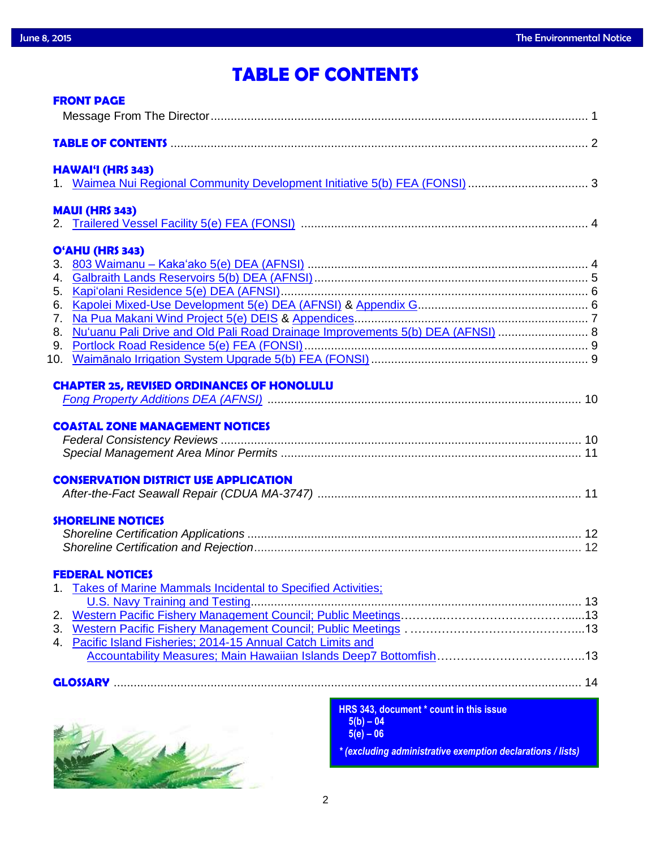# **TABLE OF CONTENTS**

| <b>FRONT PAGE</b>                                                                                                                |  |
|----------------------------------------------------------------------------------------------------------------------------------|--|
|                                                                                                                                  |  |
| <b>HAWAI'I (HRS 343)</b>                                                                                                         |  |
| <b>MAUI (HRS 343)</b>                                                                                                            |  |
| O'AHU (HRS 343)<br>6.<br>7.<br>Nu'uanu Pali Drive and Old Pali Road Drainage Improvements 5(b) DEA (AFNSI)  8<br>8.<br>9.<br>10. |  |
| <b>CHAPTER 25, REVISED ORDINANCES OF HONOLULU</b>                                                                                |  |
| <b>COASTAL ZONE MANAGEMENT NOTICES</b><br><b>CONSERVATION DISTRICT USE APPLICATION</b>                                           |  |
|                                                                                                                                  |  |
| <b>SHORELINE NOTICES</b>                                                                                                         |  |
| <b>FEDERAL NOTICES</b>                                                                                                           |  |
| 1. Takes of Marine Mammals Incidental to Specified Activities;                                                                   |  |
|                                                                                                                                  |  |
| 4. Pacific Island Fisheries; 2014-15 Annual Catch Limits and                                                                     |  |
|                                                                                                                                  |  |
|                                                                                                                                  |  |
| <b>UPO ARE IN THE REPORT OF A REPORT OF A REPORT</b>                                                                             |  |



**HRS 343, document \* count in this issue 5(b) – 04 5(e) – 06** *\* (excluding administrative exemption declarations / lists)*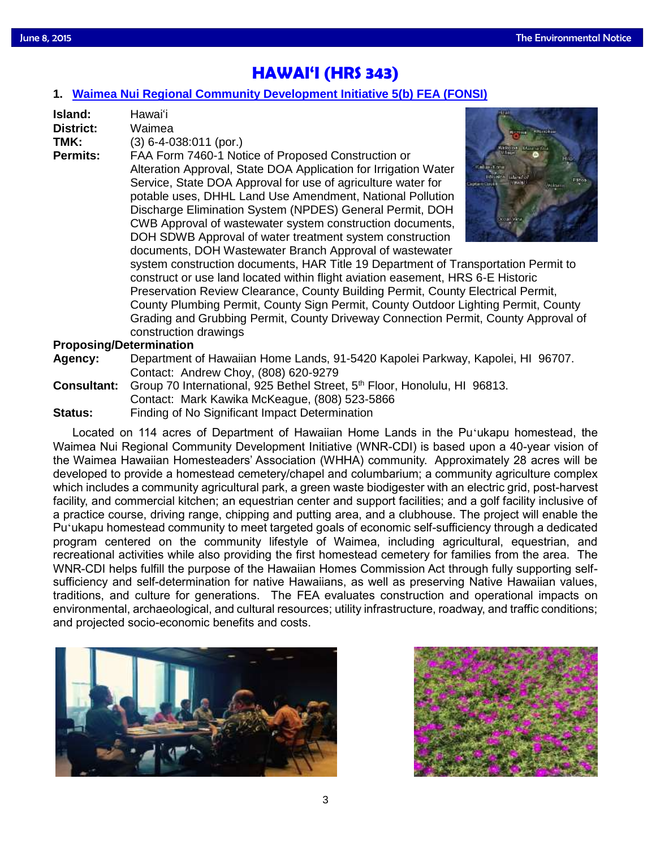# **HAWAI'I (HRS 343)**

### **1. [Waimea Nui Regional Community Development Initiative 5\(b\) FEA \(FONSI\)](http://oeqc.doh.hawaii.gov/Shared%20Documents/EA_and_EIS_Online_Library/Hawaii/2010s/2015-06-08-HA-5B-FEA-Waimea-Nui-Regional-Community-Development-Initiative.pdf)**

| Island:<br>District:<br>TMK:<br><b>Permits:</b> | Hawaiʻi<br>Waimea<br>$(3)$ 6-4-038:011 (por.)<br>FAA Form 7460-1 Notice of Proposed Construction or<br>Alteration Approval, State DOA Application for Irrigation Water<br>Service, State DOA Approval for use of agriculture water for<br>potable uses, DHHL Land Use Amendment, National Pollution |  |
|-------------------------------------------------|-----------------------------------------------------------------------------------------------------------------------------------------------------------------------------------------------------------------------------------------------------------------------------------------------------|--|
|                                                 | Discharge Elimination System (NPDES) General Permit, DOH<br>CWB Approval of wastewater system construction documents,<br>DOH SDWB Approval of water treatment system construction<br>documents, DOH Wastewater Branch Approval of wastewater                                                        |  |
|                                                 | system construction documents, HAR Title 19 Department of Transportation                                                                                                                                                                                                                            |  |

on Permit to construct or use land located within flight aviation easement, HRS 6-E Historic Preservation Review Clearance, County Building Permit, County Electrical Permit, County Plumbing Permit, County Sign Permit, County Outdoor Lighting Permit, County Grading and Grubbing Permit, County Driveway Connection Permit, County Approval of construction drawings

### **Proposing/Determination**

- **Agency:** Department of Hawaiian Home Lands, 91-5420 Kapolei Parkway, Kapolei, HI 96707. Contact: Andrew Choy, (808) 620-9279
- **Consultant:** Group 70 International, 925 Bethel Street, 5<sup>th</sup> Floor, Honolulu, HI 96813. Contact: Mark Kawika McKeague, (808) 523-5866 **Status:** Finding of No Significant Impact Determination

Located on 114 acres of Department of Hawaiian Home Lands in the Puʻukapu homestead, the Waimea Nui Regional Community Development Initiative (WNR-CDI) is based upon a 40-year vision of the Waimea Hawaiian Homesteaders' Association (WHHA) community. Approximately 28 acres will be developed to provide a homestead cemetery/chapel and columbarium; a community agriculture complex which includes a community agricultural park, a green waste biodigester with an electric grid, post-harvest facility, and commercial kitchen; an equestrian center and support facilities; and a golf facility inclusive of a practice course, driving range, chipping and putting area, and a clubhouse. The project will enable the Puʻukapu homestead community to meet targeted goals of economic self-sufficiency through a dedicated program centered on the community lifestyle of Waimea, including agricultural, equestrian, and recreational activities while also providing the first homestead cemetery for families from the area. The WNR-CDI helps fulfill the purpose of the Hawaiian Homes Commission Act through fully supporting selfsufficiency and self-determination for native Hawaiians, as well as preserving Native Hawaiian values, traditions, and culture for generations. The FEA evaluates construction and operational impacts on environmental, archaeological, and cultural resources; utility infrastructure, roadway, and traffic conditions; and projected socio-economic benefits and costs.



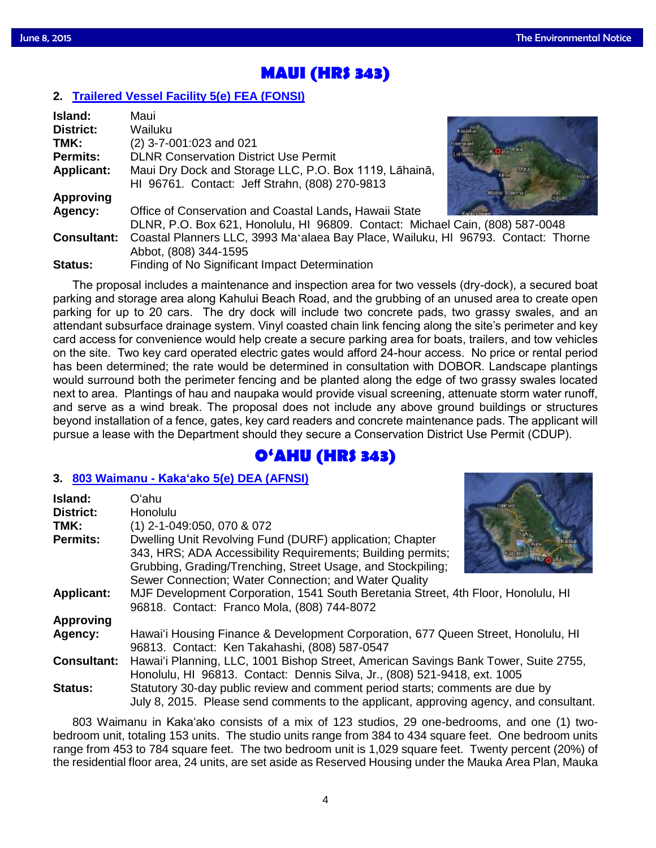# **MAUI (HRS 343)**

# **2. [Trailered Vessel Facility 5\(e\) FEA \(FONSI\)](http://oeqc.doh.hawaii.gov/Shared%20Documents/EA_and_EIS_Online_Library/Maui/2010s/2015-06-08-MA-5E-FEA-Trailered-Vessel-Facility.pdf)**

| Island:            | Maui                                                                              |
|--------------------|-----------------------------------------------------------------------------------|
| <b>District:</b>   | Wailuku                                                                           |
| TMK:               | (2) 3-7-001:023 and 021                                                           |
| <b>Permits:</b>    | <b>DLNR Conservation District Use Permit</b>                                      |
| <b>Applicant:</b>  | Maui Dry Dock and Storage LLC, P.O. Box 1119, Lāhainā,                            |
|                    | HI 96761. Contact: Jeff Strahn, (808) 270-9813                                    |
| <b>Approving</b>   | Walter-Makera                                                                     |
| Agency:            | Office of Conservation and Coastal Lands, Hawaii State                            |
|                    | DLNR, P.O. Box 621, Honolulu, HI 96809. Contact: Michael Cain, (808) 587-0048     |
| <b>Consultant:</b> | Coastal Planners LLC, 3993 Ma'alaea Bay Place, Wailuku, HI 96793. Contact: Thorne |
|                    | Abbot, (808) 344-1595                                                             |
| <b>Status:</b>     | Finding of No Significant Impact Determination                                    |

The proposal includes a maintenance and inspection area for two vessels (dry-dock), a secured boat parking and storage area along Kahului Beach Road, and the grubbing of an unused area to create open parking for up to 20 cars. The dry dock will include two concrete pads, two grassy swales, and an attendant subsurface drainage system. Vinyl coasted chain link fencing along the site's perimeter and key card access for convenience would help create a secure parking area for boats, trailers, and tow vehicles on the site. Two key card operated electric gates would afford 24-hour access. No price or rental period has been determined; the rate would be determined in consultation with DOBOR. Landscape plantings would surround both the perimeter fencing and be planted along the edge of two grassy swales located next to area. Plantings of hau and naupaka would provide visual screening, attenuate storm water runoff, and serve as a wind break. The proposal does not include any above ground buildings or structures beyond installation of a fence, gates, key card readers and concrete maintenance pads. The applicant will pursue a lease with the Department should they secure a Conservation District Use Permit (CDUP).

# **O'AHU (HRS 343)**

## **3. 803 Waimanu - Kaka'ako [5\(e\) DEA \(AFNSI\)](http://oeqc.doh.hawaii.gov/Shared%20Documents/EA_and_EIS_Online_Library/Oahu/2010s/2015-06-08-OA-5E-DEA-803-Waimanu-Kakaako.pdf)**

| Island:<br><b>District:</b> | Oʻahu<br>Honolulu                                                                                                                                                                                                                               |  |
|-----------------------------|-------------------------------------------------------------------------------------------------------------------------------------------------------------------------------------------------------------------------------------------------|--|
| TMK:                        | (1) 2-1-049:050, 070 & 072                                                                                                                                                                                                                      |  |
| <b>Permits:</b>             | Dwelling Unit Revolving Fund (DURF) application; Chapter<br>343, HRS; ADA Accessibility Requirements; Building permits;<br>Grubbing, Grading/Trenching, Street Usage, and Stockpiling;<br>Sewer Connection; Water Connection; and Water Quality |  |
| <b>Applicant:</b>           | MJF Development Corporation, 1541 South Beretania Street, 4th Floor, Honolulu, HI<br>96818. Contact: Franco Mola, (808) 744-8072                                                                                                                |  |
| <b>Approving</b>            |                                                                                                                                                                                                                                                 |  |
| Agency:                     | Hawai'i Housing Finance & Development Corporation, 677 Queen Street, Honolulu, HI<br>96813. Contact: Ken Takahashi, (808) 587-0547                                                                                                              |  |
| <b>Consultant:</b>          | Hawai'i Planning, LLC, 1001 Bishop Street, American Savings Bank Tower, Suite 2755,<br>Honolulu, HI 96813. Contact: Dennis Silva, Jr., (808) 521-9418, ext. 1005                                                                                |  |
| <b>Status:</b>              | Statutory 30-day public review and comment period starts; comments are due by<br>July 8, 2015. Please send comments to the applicant, approving agency, and consultant.                                                                         |  |

803 Waimanu in Kaka'ako consists of a mix of 123 studios, 29 one-bedrooms, and one (1) twobedroom unit, totaling 153 units. The studio units range from 384 to 434 square feet. One bedroom units range from 453 to 784 square feet. The two bedroom unit is 1,029 square feet. Twenty percent (20%) of the residential floor area, 24 units, are set aside as Reserved Housing under the Mauka Area Plan, Mauka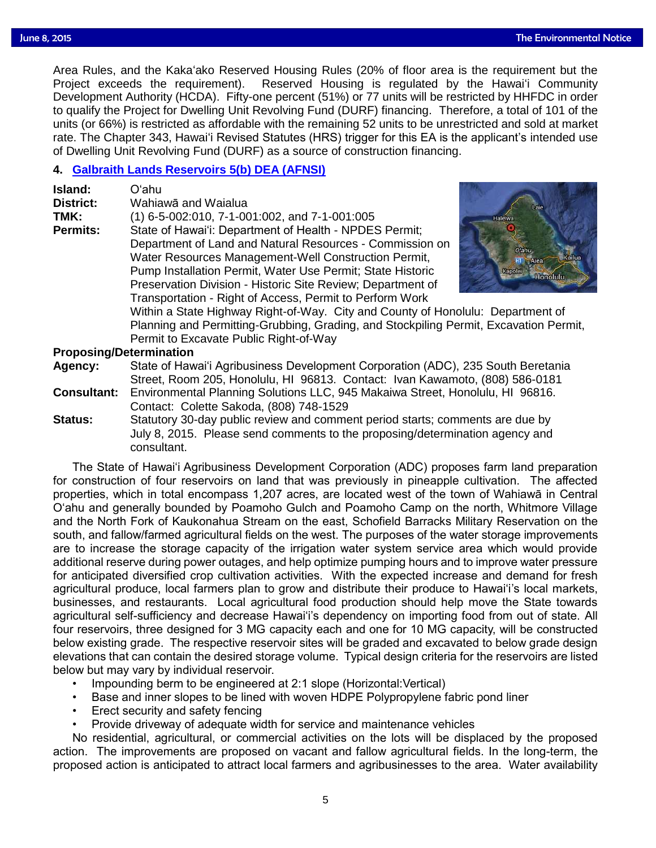Area Rules, and the Kaka'ako Reserved Housing Rules (20% of floor area is the requirement but the Arena is requirement but the requirement) Reserved Housing is requilated by the Hawai'i Community Project exceeds the requirement). Reserved Housing is regulated by the Hawai'i Community Development Authority (HCDA). Fifty-one percent (51%) or 77 units will be restricted by HHFDC in order to qualify the Project for Dwelling Unit Revolving Fund (DURF) financing. Therefore, a total of 101 of the units (or 66%) is restricted as affordable with the remaining 52 units to be unrestricted and sold at market rate. The Chapter 343, Hawai'i Revised Statutes (HRS) trigger for this EA is the applicant's intended use of Dwelling Unit Revolving Fund (DURF) as a source of construction financing.

### **4. [Galbraith Lands Reservoirs 5\(b\) DEA \(AFNSI\)](http://oeqc.doh.hawaii.gov/Shared%20Documents/EA_and_EIS_Online_Library/Oahu/2010s/2015-06-08-OA-5B-DEA-Galbraith-Lands-Reservoirs.pdf)**

| State of Hawai'i: Department of Health - NPDES Permit;<br>Department of Land and Natural Resources - Commission on<br>O'ahu<br>Water Resources Management-Well Construction Permit,<br>Alea<br>Pump Installation Permit, Water Use Permit; State Historic<br>Kapoler<br><b>Honolulu</b><br>Preservation Division - Historic Site Review; Department of<br>Transportation - Right of Access, Permit to Perform Work<br>Within a State Highway Right-of-Way. City and County of Honolulu: Department of<br>Planning and Permitting-Grubbing, Grading, and Stockpiling Permit, Excavation Permit,<br>Permit to Excavate Public Right-of-Way |  |
|------------------------------------------------------------------------------------------------------------------------------------------------------------------------------------------------------------------------------------------------------------------------------------------------------------------------------------------------------------------------------------------------------------------------------------------------------------------------------------------------------------------------------------------------------------------------------------------------------------------------------------------|--|
|------------------------------------------------------------------------------------------------------------------------------------------------------------------------------------------------------------------------------------------------------------------------------------------------------------------------------------------------------------------------------------------------------------------------------------------------------------------------------------------------------------------------------------------------------------------------------------------------------------------------------------------|--|

### **Proposing/Determination**

**Agency:** State of Hawai'i Agribusiness Development Corporation (ADC), 235 South Beretania Street, Room 205, Honolulu, HI 96813. Contact: Ivan Kawamoto, (808) 586-0181

**Consultant:** Environmental Planning Solutions LLC, 945 Makaiwa Street, Honolulu, HI 96816. Contact: Colette Sakoda, (808) 748-1529

**Status:** Statutory 30-day public review and comment period starts; comments are due by July 8, 2015. Please send comments to the proposing/determination agency and consultant.

The State of Hawai'i Agribusiness Development Corporation (ADC) proposes farm land preparation for construction of four reservoirs on land that was previously in pineapple cultivation. The affected properties, which in total encompass 1,207 acres, are located west of the town of Wahiawā in Central O'ahu and generally bounded by Poamoho Gulch and Poamoho Camp on the north, Whitmore Village and the North Fork of Kaukonahua Stream on the east, Schofield Barracks Military Reservation on the south, and fallow/farmed agricultural fields on the west. The purposes of the water storage improvements are to increase the storage capacity of the irrigation water system service area which would provide additional reserve during power outages, and help optimize pumping hours and to improve water pressure for anticipated diversified crop cultivation activities. With the expected increase and demand for fresh agricultural produce, local farmers plan to grow and distribute their produce to Hawai'i's local markets, businesses, and restaurants. Local agricultural food production should help move the State towards agricultural self-sufficiency and decrease Hawai'i's dependency on importing food from out of state. All four reservoirs, three designed for 3 MG capacity each and one for 10 MG capacity, will be constructed below existing grade. The respective reservoir sites will be graded and excavated to below grade design elevations that can contain the desired storage volume. Typical design criteria for the reservoirs are listed below but may vary by individual reservoir.

- Impounding berm to be engineered at 2:1 slope (Horizontal:Vertical)
- Base and inner slopes to be lined with woven HDPE Polypropylene fabric pond liner
- Erect security and safety fencing
- Provide driveway of adequate width for service and maintenance vehicles

No residential, agricultural, or commercial activities on the lots will be displaced by the proposed action. The improvements are proposed on vacant and fallow agricultural fields. In the long-term, the proposed action is anticipated to attract local farmers and agribusinesses to the area. Water availability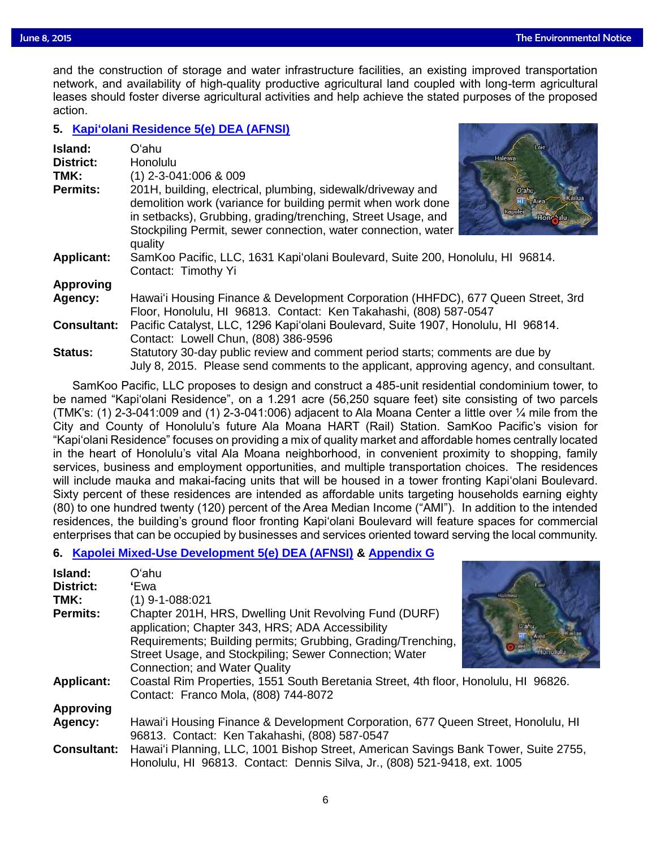and the construction of storage and water infrastructure facilities, an existing improved transportation<br>network, and availability of high-quality productive agricultural land coupled with long-term agricultural network, and availability of high-quality productive agricultural land coupled with long-term agricultural leases should foster diverse agricultural activities and help achieve the stated purposes of the proposed action.

## **5. [Kapi'olani Residence 5\(e\) DEA \(AFNSI\)](http://oeqc.doh.hawaii.gov/Shared%20Documents/EA_and_EIS_Online_Library/Oahu/2010s/2015-06-08-OA-5E-DEA-Kapiolani-Residence.pdf)**

| Island:<br><b>District:</b><br>TMK:<br><b>Permits:</b> | Oʻahu<br>Honolulu<br>$(1)$ 2-3-041:006 & 009<br>201H, building, electrical, plumbing, sidewalk/driveway and<br>demolition work (variance for building permit when work done<br>in setbacks), Grubbing, grading/trenching, Street Usage, and<br>Stockpiling Permit, sewer connection, water connection, water<br>quality | l aie<br>Haleiwa<br>O'ahu.<br>=Alea<br>Kapolei |
|--------------------------------------------------------|-------------------------------------------------------------------------------------------------------------------------------------------------------------------------------------------------------------------------------------------------------------------------------------------------------------------------|------------------------------------------------|
| <b>Applicant:</b>                                      | SamKoo Pacific, LLC, 1631 Kapi'olani Boulevard, Suite 200, Honolulu, HI 96814.<br>Contact: Timothy Yi                                                                                                                                                                                                                   |                                                |
| <b>Approving</b>                                       |                                                                                                                                                                                                                                                                                                                         |                                                |
| Agency:                                                | Hawai'i Housing Finance & Development Corporation (HHFDC), 677 Queen Street, 3rd                                                                                                                                                                                                                                        |                                                |
|                                                        | Floor, Honolulu, HI 96813. Contact: Ken Takahashi, (808) 587-0547                                                                                                                                                                                                                                                       |                                                |
| <b>Consultant:</b>                                     | Pacific Catalyst, LLC, 1296 Kapi'olani Boulevard, Suite 1907, Honolulu, HI 96814.                                                                                                                                                                                                                                       |                                                |
|                                                        | Contact: Lowell Chun, (808) 386-9596                                                                                                                                                                                                                                                                                    |                                                |
| <b>Status:</b>                                         | Statutory 30-day public review and comment period starts; comments are due by<br>July 8, 2015. Please send comments to the applicant, approving agency, and consultant.                                                                                                                                                 |                                                |
|                                                        |                                                                                                                                                                                                                                                                                                                         |                                                |

SamKoo Pacific, LLC proposes to design and construct a 485-unit residential condominium tower, to be named "Kapi'olani Residence", on a 1.291 acre (56,250 square feet) site consisting of two parcels (TMK's: (1) 2-3-041:009 and (1) 2-3-041:006) adjacent to Ala Moana Center a little over  $\frac{1}{4}$  mile from the City and County of Honolulu's future Ala Moana HART (Rail) Station. SamKoo Pacific's vision for "Kapi'olani Residence" focuses on providing a mix of quality market and affordable homes centrally located in the heart of Honolulu's vital Ala Moana neighborhood, in convenient proximity to shopping, family services, business and employment opportunities, and multiple transportation choices. The residences will include mauka and makai-facing units that will be housed in a tower fronting Kapi'olani Boulevard. Sixty percent of these residences are intended as affordable units targeting households earning eighty (80) to one hundred twenty (120) percent of the Area Median Income ("AMI"). In addition to the intended residences, the building's ground floor fronting Kapi'olani Boulevard will feature spaces for commercial enterprises that can be occupied by businesses and services oriented toward serving the local community.

# **6. [Kapolei Mixed-Use Development 5\(e\) DEA \(AFNSI\)](http://oeqc.doh.hawaii.gov/Shared%20Documents/EA_and_EIS_Online_Library/Oahu/2010s/2015-06-08-OA-5E-DEA-Kapolei-Mixed-Use-Development.pdf) & [Appendix G](http://oeqc.doh.hawaii.gov/Shared%20Documents/EA_and_EIS_Online_Library/Oahu/2010s/2015-06-08-OA-5E-DEA-Kapolei-Mixed-Use-Development-Appendix-G.pdf)**

| Island:            | Oʻahu                                                                               |
|--------------------|-------------------------------------------------------------------------------------|
| <b>District:</b>   | 'Ewa                                                                                |
| TMK:               | $(1)$ 9-1-088:021                                                                   |
| <b>Permits:</b>    | Chapter 201H, HRS, Dwelling Unit Revolving Fund (DURF)                              |
|                    | application; Chapter 343, HRS; ADA Accessibility                                    |
|                    | Requirements; Building permits; Grubbing, Grading/Trenching,                        |
|                    | Street Usage, and Stockpiling; Sewer Connection; Water                              |
|                    | Connection; and Water Quality                                                       |
| <b>Applicant:</b>  | Coastal Rim Properties, 1551 South Beretania Street, 4th floor, Honolulu, HI 96826. |
|                    | Contact: Franco Mola, (808) 744-8072                                                |
| <b>Approving</b>   |                                                                                     |
| Agency:            | Hawai'i Housing Finance & Development Corporation, 677 Queen Street, Honolulu, HI   |
|                    | 96813. Contact: Ken Takahashi, (808) 587-0547                                       |
| <b>Consultant:</b> | Hawai'i Planning, LLC, 1001 Bishop Street, American Savings Bank Tower, Suite 2755, |
|                    | Honolulu, HI 96813. Contact: Dennis Silva, Jr., (808) 521-9418, ext. 1005           |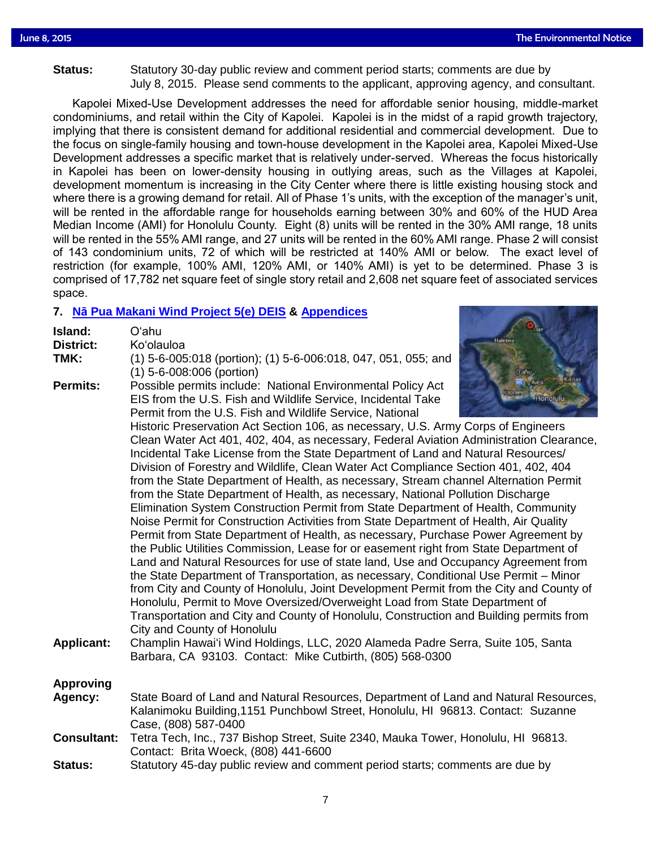# **Status:** Statutory 30-day public review and comment period starts; comments are due by<br>Status: Statutory 3015, Please send comments to the applicant approving agency and com-July 8, 2015. Please send comments to the applicant, approving agency, and consultant.

Kapolei Mixed-Use Development addresses the need for affordable senior housing, middle-market condominiums, and retail within the City of Kapolei. Kapolei is in the midst of a rapid growth trajectory, implying that there is consistent demand for additional residential and commercial development. Due to the focus on single-family housing and town-house development in the Kapolei area, Kapolei Mixed-Use Development addresses a specific market that is relatively under-served. Whereas the focus historically in Kapolei has been on lower-density housing in outlying areas, such as the Villages at Kapolei, development momentum is increasing in the City Center where there is little existing housing stock and where there is a growing demand for retail. All of Phase 1's units, with the exception of the manager's unit, will be rented in the affordable range for households earning between 30% and 60% of the HUD Area Median Income (AMI) for Honolulu County. Eight (8) units will be rented in the 30% AMI range, 18 units will be rented in the 55% AMI range, and 27 units will be rented in the 60% AMI range. Phase 2 will consist of 143 condominium units, 72 of which will be restricted at 140% AMI or below. The exact level of restriction (for example, 100% AMI, 120% AMI, or 140% AMI) is yet to be determined. Phase 3 is comprised of 17,782 net square feet of single story retail and 2,608 net square feet of associated services space.

# **7. Nā [Pua Makani Wind Project 5\(e\) DEIS](http://oeqc.doh.hawaii.gov/Shared%20Documents/EA_and_EIS_Online_Library/Oahu/2010s/2015-06-08-OA-5E-DEIS-Na-Pua-Makani-Wind-Project.pdf) & [Appendices](http://oeqc.doh.hawaii.gov/Shared%20Documents/EA_and_EIS_Online_Library/Oahu/2010s/2015-06-08-OA-5E-DEIS-Na-Pua-Makani-Wind-Project-Appendices.pdf)**

| Island:<br>District:<br>TMK: | <b>AID</b><br>O'ahu<br>Halelwa<br>Ko'olauloa<br>(1) 5-6-005:018 (portion); (1) 5-6-006:018, 047, 051, 055; and<br>(1) 5-6-008:006 (portion)                                                                                                                                                                                                                                                                                                                                                                                                                                                                                                                                                                                                                                                                                                                                                                                                                                                                                                                                                                                                                                                                                                                                                                                                     |  |
|------------------------------|-------------------------------------------------------------------------------------------------------------------------------------------------------------------------------------------------------------------------------------------------------------------------------------------------------------------------------------------------------------------------------------------------------------------------------------------------------------------------------------------------------------------------------------------------------------------------------------------------------------------------------------------------------------------------------------------------------------------------------------------------------------------------------------------------------------------------------------------------------------------------------------------------------------------------------------------------------------------------------------------------------------------------------------------------------------------------------------------------------------------------------------------------------------------------------------------------------------------------------------------------------------------------------------------------------------------------------------------------|--|
| <b>Permits:</b>              | Possible permits include: National Environmental Policy Act<br>EIS from the U.S. Fish and Wildlife Service, Incidental Take<br>tonolulu<br>Permit from the U.S. Fish and Wildlife Service, National                                                                                                                                                                                                                                                                                                                                                                                                                                                                                                                                                                                                                                                                                                                                                                                                                                                                                                                                                                                                                                                                                                                                             |  |
|                              | Historic Preservation Act Section 106, as necessary, U.S. Army Corps of Engineers<br>Clean Water Act 401, 402, 404, as necessary, Federal Aviation Administration Clearance,<br>Incidental Take License from the State Department of Land and Natural Resources/<br>Division of Forestry and Wildlife, Clean Water Act Compliance Section 401, 402, 404<br>from the State Department of Health, as necessary, Stream channel Alternation Permit<br>from the State Department of Health, as necessary, National Pollution Discharge<br>Elimination System Construction Permit from State Department of Health, Community<br>Noise Permit for Construction Activities from State Department of Health, Air Quality<br>Permit from State Department of Health, as necessary, Purchase Power Agreement by<br>the Public Utilities Commission, Lease for or easement right from State Department of<br>Land and Natural Resources for use of state land, Use and Occupancy Agreement from<br>the State Department of Transportation, as necessary, Conditional Use Permit - Minor<br>from City and County of Honolulu, Joint Development Permit from the City and County of<br>Honolulu, Permit to Move Oversized/Overweight Load from State Department of<br>Transportation and City and County of Honolulu, Construction and Building permits from |  |
| <b>Applicant:</b>            | City and County of Honolulu<br>Champlin Hawai'i Wind Holdings, LLC, 2020 Alameda Padre Serra, Suite 105, Santa<br>Barbara, CA 93103. Contact: Mike Cutbirth, (805) 568-0300                                                                                                                                                                                                                                                                                                                                                                                                                                                                                                                                                                                                                                                                                                                                                                                                                                                                                                                                                                                                                                                                                                                                                                     |  |
| <b>Approving</b><br>Agency:  | State Board of Land and Natural Resources, Department of Land and Natural Resources,<br>Kalanimoku Building, 1151 Punchbowl Street, Honolulu, HI 96813. Contact: Suzanne<br>Case, (808) 587-0400                                                                                                                                                                                                                                                                                                                                                                                                                                                                                                                                                                                                                                                                                                                                                                                                                                                                                                                                                                                                                                                                                                                                                |  |
| <b>Consultant:</b>           | Tetra Tech, Inc., 737 Bishop Street, Suite 2340, Mauka Tower, Honolulu, HI 96813.<br>Contact: Brita Woeck, (808) 441-6600                                                                                                                                                                                                                                                                                                                                                                                                                                                                                                                                                                                                                                                                                                                                                                                                                                                                                                                                                                                                                                                                                                                                                                                                                       |  |
| Status:                      | Statutory 45-day public review and comment period starts; comments are due by                                                                                                                                                                                                                                                                                                                                                                                                                                                                                                                                                                                                                                                                                                                                                                                                                                                                                                                                                                                                                                                                                                                                                                                                                                                                   |  |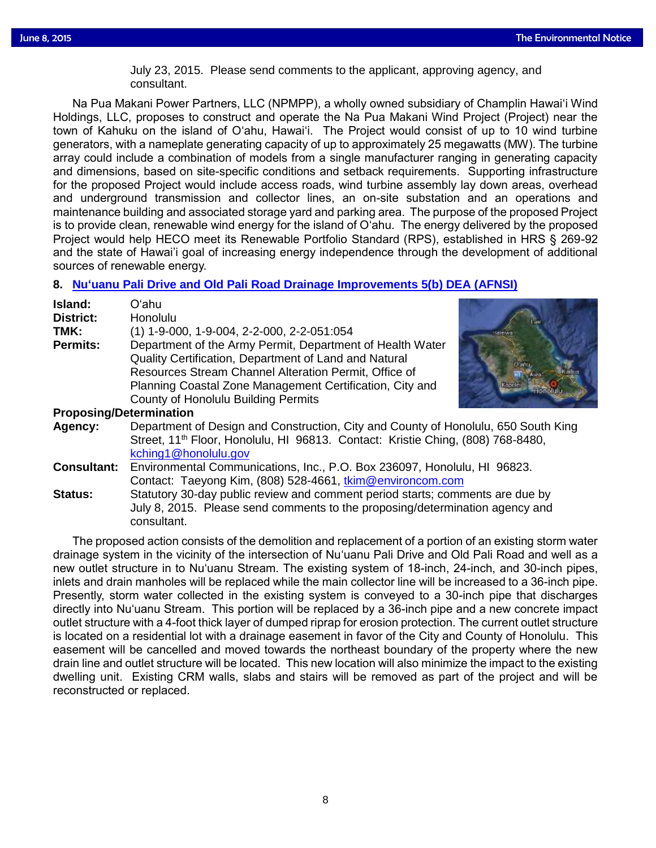July 23, 2015. Please send comments to the applicant, approving agency, and<br>consultant consultant.

Na Pua Makani Power Partners, LLC (NPMPP), a wholly owned subsidiary of Champlin Hawai'i Wind Holdings, LLC, proposes to construct and operate the Na Pua Makani Wind Project (Project) near the town of Kahuku on the island of O'ahu, Hawai'i. The Project would consist of up to 10 wind turbine generators, with a nameplate generating capacity of up to approximately 25 megawatts (MW). The turbine array could include a combination of models from a single manufacturer ranging in generating capacity and dimensions, based on site-specific conditions and setback requirements. Supporting infrastructure for the proposed Project would include access roads, wind turbine assembly lay down areas, overhead and underground transmission and collector lines, an on-site substation and an operations and maintenance building and associated storage yard and parking area. The purpose of the proposed Project is to provide clean, renewable wind energy for the island of O'ahu. The energy delivered by the proposed Project would help HECO meet its Renewable Portfolio Standard (RPS), established in HRS § 269-92 and the state of Hawai'i goal of increasing energy independence through the development of additional sources of renewable energy.

# **8. [Nu'uanu Pali Drive and Old Pali Road Drainage Improvements 5\(b\) DEA \(AFNSI\)](http://oeqc.doh.hawaii.gov/Shared%20Documents/EA_and_EIS_Online_Library/Oahu/2010s/2015-06-08-OA-5B-DEA-Nuuanu-Pali-Drive-and-Old-Pali-Road-Drainage-Improvements.pdf)**

| Island:                        | Oʻahu                                                                                                                                                                                                                                   |
|--------------------------------|-----------------------------------------------------------------------------------------------------------------------------------------------------------------------------------------------------------------------------------------|
| District:                      | Honolulu                                                                                                                                                                                                                                |
| TMK:                           | $(1)$ 1-9-000, 1-9-004, 2-2-000, 2-2-051:054                                                                                                                                                                                            |
| <b>Permits:</b>                | Department of the Army Permit, Department of Health Water<br>Quality Certification, Department of Land and Natural<br>Resources Stream Channel Alteration Permit, Office of<br>Planning Coastal Zone Management Certification, City and |
|                                | <b>County of Honolulu Building Permits</b>                                                                                                                                                                                              |
| <b>Proposing/Determination</b> |                                                                                                                                                                                                                                         |
| Agency:                        | Department of Design and Construction, City and County of Honolulu, 650 South King<br>Street, 11 <sup>th</sup> Floor, Honolulu, HI 96813. Contact: Kristie Ching, (808) 768-8480,<br>kching1@honolulu.gov                               |
| <b>Consultant:</b>             | Environmental Communications, Inc., P.O. Box 236097, Honolulu, HI 96823.                                                                                                                                                                |

Contact: Taeyong Kim, (808) 528-4661, [tkim@environcom.com](mailto:tkim@environcom.com) **Status:** Statutory 30-day public review and comment period starts; comments are due by July 8, 2015. Please send comments to the proposing/determination agency and consultant.

The proposed action consists of the demolition and replacement of a portion of an existing storm water drainage system in the vicinity of the intersection of Nu'uanu Pali Drive and Old Pali Road and well as a new outlet structure in to Nu'uanu Stream. The existing system of 18-inch, 24-inch, and 30-inch pipes, inlets and drain manholes will be replaced while the main collector line will be increased to a 36-inch pipe. Presently, storm water collected in the existing system is conveyed to a 30-inch pipe that discharges directly into Nu'uanu Stream. This portion will be replaced by a 36-inch pipe and a new concrete impact outlet structure with a 4-foot thick layer of dumped riprap for erosion protection. The current outlet structure is located on a residential lot with a drainage easement in favor of the City and County of Honolulu. This easement will be cancelled and moved towards the northeast boundary of the property where the new drain line and outlet structure will be located. This new location will also minimize the impact to the existing dwelling unit. Existing CRM walls, slabs and stairs will be removed as part of the project and will be reconstructed or replaced.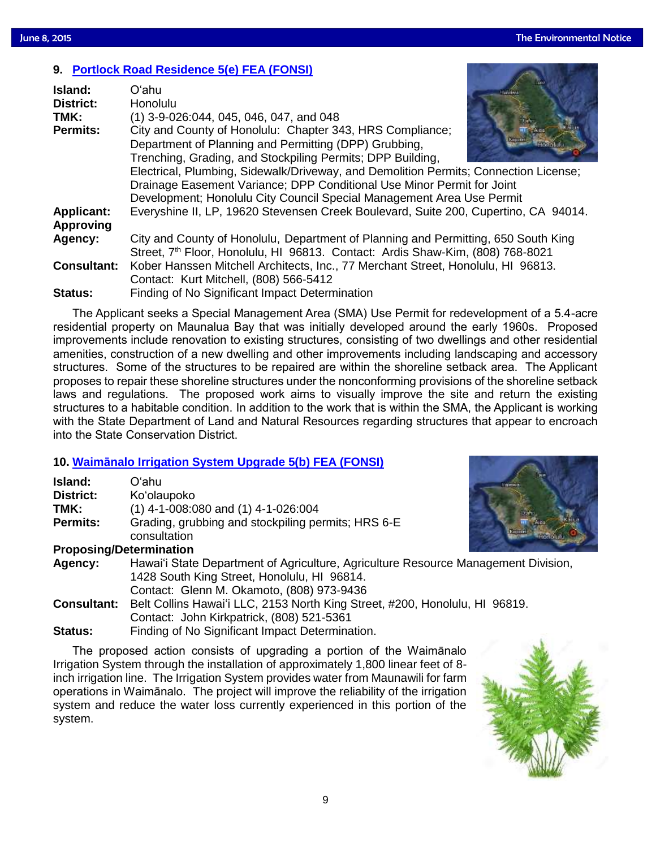# **9. [Portlock Road Residence 5\(e\) FEA \(FONSI\)](http://oeqc.doh.hawaii.gov/Shared%20Documents/EA_and_EIS_Online_Library/Maui/2010s/2015-06-08-OA-5E-FEA-Portlock-Road-Residence.pdf)**

| Island:            | Oʻahu                                                                                      |
|--------------------|--------------------------------------------------------------------------------------------|
| <b>District:</b>   | <b>Honolulu</b>                                                                            |
| TMK:               | (1) 3-9-026:044, 045, 046, 047, and 048                                                    |
| <b>Permits:</b>    | City and County of Honolulu: Chapter 343, HRS Compliance;                                  |
|                    | Department of Planning and Permitting (DPP) Grubbing,                                      |
|                    | Trenching, Grading, and Stockpiling Permits; DPP Building,                                 |
|                    | Electrical, Plumbing, Sidewalk/Driveway, and Demolition Permits; Connection License;       |
|                    | Drainage Easement Variance; DPP Conditional Use Minor Permit for Joint                     |
|                    | Development; Honolulu City Council Special Management Area Use Permit                      |
| <b>Applicant:</b>  | Everyshine II, LP, 19620 Stevensen Creek Boulevard, Suite 200, Cupertino, CA 94014.        |
| <b>Approving</b>   |                                                                                            |
| Agency:            | City and County of Honolulu, Department of Planning and Permitting, 650 South King         |
|                    | Street, 7 <sup>th</sup> Floor, Honolulu, HI 96813. Contact: Ardis Shaw-Kim, (808) 768-8021 |
| <b>Consultant:</b> | Kober Hanssen Mitchell Architects, Inc., 77 Merchant Street, Honolulu, HI 96813.           |
|                    | Contact: Kurt Mitchell, (808) 566-5412                                                     |
| <b>Status:</b>     | Finding of No Significant Impact Determination                                             |

The Applicant seeks a Special Management Area (SMA) Use Permit for redevelopment of a 5.4-acre residential property on Maunalua Bay that was initially developed around the early 1960s. Proposed improvements include renovation to existing structures, consisting of two dwellings and other residential amenities, construction of a new dwelling and other improvements including landscaping and accessory structures. Some of the structures to be repaired are within the shoreline setback area. The Applicant proposes to repair these shoreline structures under the nonconforming provisions of the shoreline setback laws and regulations. The proposed work aims to visually improve the site and return the existing structures to a habitable condition. In addition to the work that is within the SMA, the Applicant is working with the State Department of Land and Natural Resources regarding structures that appear to encroach into the State Conservation District.

## **10. [Waimānalo Irrigation System Upgrade 5\(b\) FEA \(FONSI\)](http://oeqc.doh.hawaii.gov/Shared%20Documents/EA_and_EIS_Online_Library/Oahu/2010s/2015-06-08-OA-5B-FEA-Waimanalo-Irrigation-System-Upgrade.pdf)**

| Island:            | Oʻahu                                                                                                                                                                          |  |
|--------------------|--------------------------------------------------------------------------------------------------------------------------------------------------------------------------------|--|
| <b>District:</b>   | Ko'olaupoko                                                                                                                                                                    |  |
| TMK:               | $(1)$ 4-1-008:080 and $(1)$ 4-1-026:004                                                                                                                                        |  |
| <b>Permits:</b>    | Grading, grubbing and stockpiling permits; HRS 6-E<br>consultation                                                                                                             |  |
|                    | <b>Proposing/Determination</b>                                                                                                                                                 |  |
| Agency:            | Hawai'i State Department of Agriculture, Agriculture Resource Management Division,<br>1428 South King Street, Honolulu, HI 96814.<br>Contact: Glenn M. Okamoto, (808) 973-9436 |  |
| <b>Consultant:</b> | Belt Collins Hawai'i LLC, 2153 North King Street, #200, Honolulu, HI 96819.<br>Contact: John Kirkpatrick, (808) 521-5361                                                       |  |
| <b>Status:</b>     | Finding of No Significant Impact Determination.                                                                                                                                |  |

The proposed action consists of upgrading a portion of the Waimānalo Irrigation System through the installation of approximately 1,800 linear feet of 8 inch irrigation line. The Irrigation System provides water from Maunawili for farm operations in Waimānalo. The project will improve the reliability of the irrigation system and reduce the water loss currently experienced in this portion of the system.

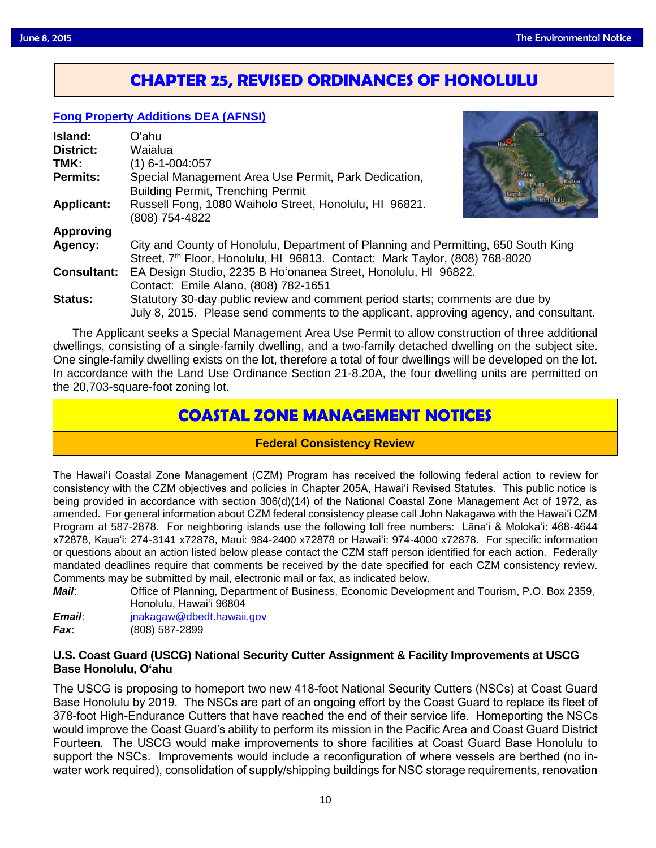# **CHAPTER 25, REVISED ORDINANCES OF HONOLULU**

# **[Fong Property Additions DEA \(AFNSI\)](http://oeqc.doh.hawaii.gov/Shared%20Documents/EA_and_EIS_Online_Library/Non-343-EA-EIS-Notices/2015-06-08-Chapter-25-DEA-Fong-Property-Additions.pdf)**

| Island:            | Oʻahu                                                                                                                                                                         |
|--------------------|-------------------------------------------------------------------------------------------------------------------------------------------------------------------------------|
| <b>District:</b>   | Waialua                                                                                                                                                                       |
| TMK:               | (1) 6-1-004:057                                                                                                                                                               |
| <b>Permits:</b>    | Special Management Area Use Permit, Park Dedication,<br><b>Building Permit, Trenching Permit</b>                                                                              |
| <b>Applicant:</b>  | Russell Fong, 1080 Waiholo Street, Honolulu, HI 96821.<br>(808) 754-4822                                                                                                      |
| <b>Approving</b>   |                                                                                                                                                                               |
| Agency:            | City and County of Honolulu, Department of Planning and Permitting, 650 South King<br>Street, 7 <sup>th</sup> Floor, Honolulu, HI 96813. Contact: Mark Taylor, (808) 768-8020 |
| <b>Consultant:</b> | EA Design Studio, 2235 B Ho'onanea Street, Honolulu, HI 96822.                                                                                                                |
|                    | Contact: Emile Alano, (808) 782-1651                                                                                                                                          |
| <b>Status:</b>     | Statutory 30-day public review and comment period starts; comments are due by                                                                                                 |
|                    | July 8, 2015. Please send comments to the applicant, approving agency, and consultant.                                                                                        |

The Applicant seeks a Special Management Area Use Permit to allow construction of three additional dwellings, consisting of a single-family dwelling, and a two-family detached dwelling on the subject site. One single-family dwelling exists on the lot, therefore a total of four dwellings will be developed on the lot. In accordance with the Land Use Ordinance Section 21-8.20A, the four dwelling units are permitted on the 20,703-square-foot zoning lot.

# **COASTAL ZONE MANAGEMENT NOTICES**

## **Federal Consistency Review**

The Hawai'i Coastal Zone Management (CZM) Program has received the following federal action to review for consistency with the CZM objectives and policies in Chapter 205A, Hawai'i Revised Statutes. This public notice is being provided in accordance with section 306(d)(14) of the National Coastal Zone Management Act of 1972, as amended. For general information about CZM federal consistency please call John Nakagawa with the Hawai'i CZM Program at 587-2878. For neighboring islands use the following toll free numbers: Lāna'i & Moloka'i: 468-4644 x72878, Kaua'i: 274-3141 x72878, Maui: 984-2400 x72878 or Hawai'i: 974-4000 x72878. For specific information or questions about an action listed below please contact the CZM staff person identified for each action. Federally mandated deadlines require that comments be received by the date specified for each CZM consistency review. Comments may be submitted by mail, electronic mail or fax, as indicated below.

*Mail*: Office of Planning, Department of Business, Economic Development and Tourism, P.O. Box 2359, Honolulu, Hawai'i 96804

| <i><b>Email:</b></i> | jnakagaw@dbedt.hawaii.gov |  |
|----------------------|---------------------------|--|
| Fax:                 | (808) 587-2899            |  |

## **U.S. Coast Guard (USCG) National Security Cutter Assignment & Facility Improvements at USCG Base Honolulu, O'ahu**

The USCG is proposing to homeport two new 418-foot National Security Cutters (NSCs) at Coast Guard Base Honolulu by 2019. The NSCs are part of an ongoing effort by the Coast Guard to replace its fleet of 378-foot High-Endurance Cutters that have reached the end of their service life. Homeporting the NSCs would improve the Coast Guard's ability to perform its mission in the Pacific Area and Coast Guard District Fourteen. The USCG would make improvements to shore facilities at Coast Guard Base Honolulu to support the NSCs. Improvements would include a reconfiguration of where vessels are berthed (no inwater work required), consolidation of supply/shipping buildings for NSC storage requirements, renovation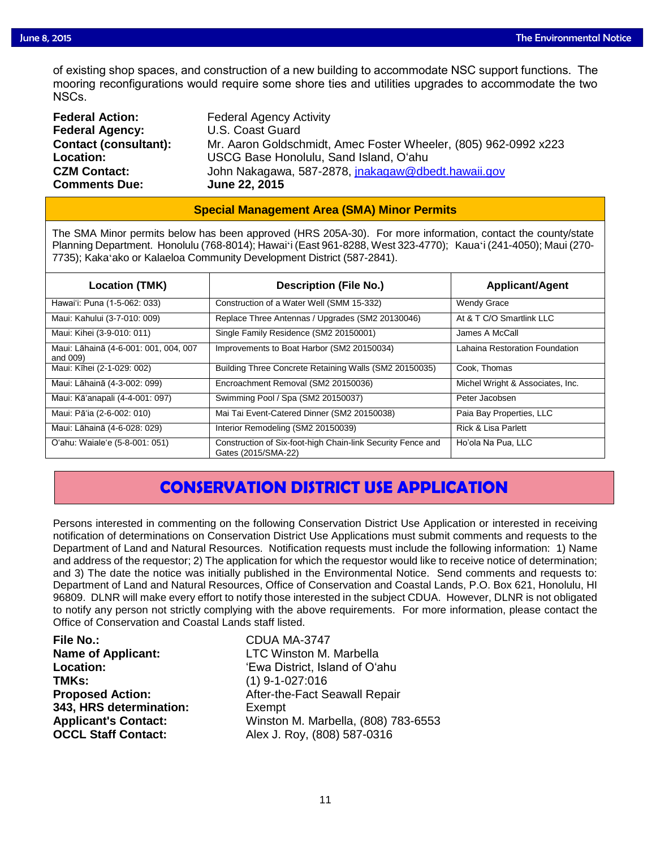of existing shop spaces, and construction of a new building to accommodate NSC support functions. The mooring reconfigurations would require some shore ties and utilities upgrades to accommodate the two mooring reconfigurations would require some shore ties and utilities upgrades to accommodate the two NSCs.

| <b>Federal Action:</b>       | <b>Federal Agency Activity</b>                                  |
|------------------------------|-----------------------------------------------------------------|
| <b>Federal Agency:</b>       | U.S. Coast Guard                                                |
| <b>Contact (consultant):</b> | Mr. Aaron Goldschmidt, Amec Foster Wheeler, (805) 962-0992 x223 |
| <b>Location:</b>             | USCG Base Honolulu, Sand Island, O'ahu                          |
| <b>CZM Contact:</b>          | John Nakagawa, 587-2878, jnakagaw@dbedt.hawaii.gov              |
| <b>Comments Due:</b>         | June 22, 2015                                                   |

### **Special Management Area (SMA) Minor Permits**

The SMA Minor permits below has been approved (HRS 205A-30). For more information, contact the county/state Planning Department. Honolulu (768-8014); Hawaiʻi (East 961-8288, West 323-4770); Kauaʻi (241-4050); Maui (270- 7735); Kakaʻako or Kalaeloa Community Development District (587-2841).

| Location (TMK)                                    | <b>Description (File No.)</b>                                                      | <b>Applicant/Agent</b>           |
|---------------------------------------------------|------------------------------------------------------------------------------------|----------------------------------|
| Hawai'i: Puna (1-5-062: 033)                      | Construction of a Water Well (SMM 15-332)                                          | <b>Wendy Grace</b>               |
| Maui: Kahului (3-7-010: 009)                      | Replace Three Antennas / Upgrades (SM2 20130046)                                   | At & T C/O Smartlink LLC         |
| Maui: Kihei (3-9-010: 011)                        | Single Family Residence (SM2 20150001)                                             | James A McCall                   |
| Maui: Lāhainā (4-6-001: 001, 004, 007<br>and 009) | Improvements to Boat Harbor (SM2 20150034)                                         | Lahaina Restoration Foundation   |
| Maui: Kīhei (2-1-029: 002)                        | Building Three Concrete Retaining Walls (SM2 20150035)                             | Cook, Thomas                     |
| Maui: Lāhainā (4-3-002: 099)                      | Encroachment Removal (SM2 20150036)                                                | Michel Wright & Associates, Inc. |
| Maui: Kā'anapali (4-4-001: 097)                   | Swimming Pool / Spa (SM2 20150037)                                                 | Peter Jacobsen                   |
| Maui: Pā'ia (2-6-002: 010)                        | Mai Tai Event-Catered Dinner (SM2 20150038)                                        | Paia Bay Properties, LLC         |
| Maui: Lāhainā (4-6-028: 029)                      | Interior Remodeling (SM2 20150039)                                                 | <b>Rick &amp; Lisa Parlett</b>   |
| O'ahu: Waiale'e (5-8-001: 051)                    | Construction of Six-foot-high Chain-link Security Fence and<br>Gates (2015/SMA-22) | Ho'ola Na Pua. LLC               |

# **CONSERVATION DISTRICT USE APPLICATION**

Persons interested in commenting on the following Conservation District Use Application or interested in receiving notification of determinations on Conservation District Use Applications must submit comments and requests to the Department of Land and Natural Resources. Notification requests must include the following information: 1) Name and address of the requestor; 2) The application for which the requestor would like to receive notice of determination; and 3) The date the notice was initially published in the Environmental Notice. Send comments and requests to: Department of Land and Natural Resources, Office of Conservation and Coastal Lands, P.O. Box 621, Honolulu, HI 96809. DLNR will make every effort to notify those interested in the subject CDUA. However, DLNR is not obligated to notify any person not strictly complying with the above requirements. For more information, please contact the Office of Conservation and Coastal Lands staff listed.

| <b>File No.:</b>            |
|-----------------------------|
| <b>Name of Applicant:</b>   |
| <b>Location:</b>            |
| TMKs:                       |
| <b>Proposed Action:</b>     |
| 343, HRS determination:     |
| <b>Applicant's Contact:</b> |
| <b>OCCL Staff Contact:</b>  |

**File No.:** CDUA MA-3747 **LTC Winston M. Marbella Location:** 'Ewa District, Island of O'ahu **TMKs:** (1) 9-1-027:016 After-the-Fact Seawall Repair Exempt **Applicant's Contact:** Winston M. Marbella, (808) 783-6553 **OCCL Staff Contact:** Alex J. Roy, (808) 587-0316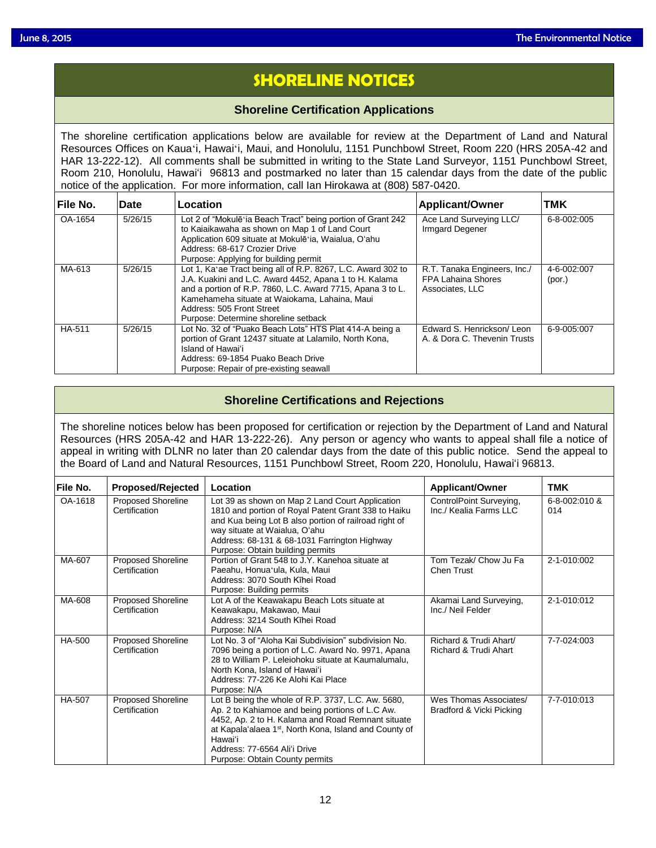# **SHORELINE NOTICES**

### **Shoreline Certification Applications**

The shoreline certification applications below are available for review at the Department of Land and Natural Resources Offices on Kauaʻi, Hawaiʻi, Maui, and Honolulu, 1151 Punchbowl Street, Room 220 (HRS 205A-42 and HAR 13-222-12). All comments shall be submitted in writing to the State Land Surveyor, 1151 Punchbowl Street, Room 210, Honolulu, Hawai'i 96813 and postmarked no later than 15 calendar days from the date of the public notice of the application. For more information, call Ian Hirokawa at (808) 587-0420.

| File No.      | Date    | Location                                                                                                     | Applicant/Owner                            | <b>TMK</b>  |
|---------------|---------|--------------------------------------------------------------------------------------------------------------|--------------------------------------------|-------------|
| OA-1654       | 5/26/15 | Lot 2 of "Mokulē a Beach Tract" being portion of Grant 242<br>to Kaiaikawaha as shown on Map 1 of Land Court | Ace Land Surveying LLC/<br>Irmgard Degener | 6-8-002:005 |
|               |         | Application 609 situate at Mokulē a, Waialua, O'ahu                                                          |                                            |             |
|               |         | Address: 68-617 Crozier Drive                                                                                |                                            |             |
|               |         | Purpose: Applying for building permit                                                                        |                                            |             |
| MA-613        | 5/26/15 | Lot 1, Ka'ae Tract being all of R.P. 8267, L.C. Award 302 to                                                 | R.T. Tanaka Engineers, Inc./               | 4-6-002:007 |
|               |         | J.A. Kuakini and L.C. Award 4452, Apana 1 to H. Kalama                                                       | <b>FPA Lahaina Shores</b>                  | (por.)      |
|               |         | and a portion of R.P. 7860, L.C. Award 7715, Apana 3 to L.                                                   | Associates, LLC                            |             |
|               |         | Kamehameha situate at Waiokama, Lahaina, Maui                                                                |                                            |             |
|               |         | Address: 505 Front Street                                                                                    |                                            |             |
|               |         | Purpose: Determine shoreline setback                                                                         |                                            |             |
| <b>HA-511</b> | 5/26/15 | Lot No. 32 of "Puako Beach Lots" HTS Plat 414-A being a                                                      | Edward S. Henrickson/Leon                  | 6-9-005:007 |
|               |         | portion of Grant 12437 situate at Lalamilo, North Kona,                                                      | A. & Dora C. Thevenin Trusts               |             |
|               |         | Island of Hawai'i                                                                                            |                                            |             |
|               |         | Address: 69-1854 Puako Beach Drive                                                                           |                                            |             |
|               |         | Purpose: Repair of pre-existing seawall                                                                      |                                            |             |

# **Shoreline Certifications and Rejections**

The shoreline notices below has been proposed for certification or rejection by the Department of Land and Natural Resources (HRS 205A-42 and HAR 13-222-26). Any person or agency who wants to appeal shall file a notice of appeal in writing with DLNR no later than 20 calendar days from the date of this public notice. Send the appeal to the Board of Land and Natural Resources, 1151 Punchbowl Street, Room 220, Honolulu, Hawai'i 96813.

| lFile No. | <b>Proposed/Rejected</b>                   | Location                                                                                                                                                                                                                                                                                                      | <b>Applicant/Owner</b>                             | <b>TMK</b>           |
|-----------|--------------------------------------------|---------------------------------------------------------------------------------------------------------------------------------------------------------------------------------------------------------------------------------------------------------------------------------------------------------------|----------------------------------------------------|----------------------|
| OA-1618   | <b>Proposed Shoreline</b><br>Certification | Lot 39 as shown on Map 2 Land Court Application<br>1810 and portion of Royal Patent Grant 338 to Haiku<br>and Kua being Lot B also portion of railroad right of<br>way situate at Waialua, O'ahu<br>Address: 68-131 & 68-1031 Farrington Highway<br>Purpose: Obtain building permits                          | ControlPoint Surveying,<br>Inc./ Kealia Farms LLC  | 6-8-002:010 &<br>014 |
| MA-607    | Proposed Shoreline<br>Certification        | Portion of Grant 548 to J.Y. Kanehoa situate at<br>Paeahu, Honua'ula, Kula, Maui<br>Address: 3070 South Kīhei Road<br>Purpose: Building permits                                                                                                                                                               | Tom Tezak/ Chow Ju Fa<br><b>Chen Trust</b>         | 2-1-010:002          |
| MA-608    | <b>Proposed Shoreline</b><br>Certification | Lot A of the Keawakapu Beach Lots situate at<br>Keawakapu, Makawao, Maui<br>Address: 3214 South Kīhei Road<br>Purpose: N/A                                                                                                                                                                                    | Akamai Land Surveying,<br>Inc./ Neil Felder        | 2-1-010:012          |
| HA-500    | <b>Proposed Shoreline</b><br>Certification | Lot No. 3 of "Aloha Kai Subdivision" subdivision No.<br>7096 being a portion of L.C. Award No. 9971, Apana<br>28 to William P. Leleiohoku situate at Kaumalumalu,<br>North Kona, Island of Hawai'i<br>Address: 77-226 Ke Alohi Kai Place<br>Purpose: N/A                                                      | Richard & Trudi Ahart/<br>Richard & Trudi Ahart    | 7-7-024:003          |
| HA-507    | <b>Proposed Shoreline</b><br>Certification | Lot B being the whole of R.P. 3737, L.C. Aw. 5680,<br>Ap. 2 to Kahiamoe and being portions of L.C Aw.<br>4452, Ap. 2 to H. Kalama and Road Remnant situate<br>at Kapala'alaea 1 <sup>st</sup> , North Kona, Island and County of<br>Hawai'i<br>Address: 77-6564 Ali'i Drive<br>Purpose: Obtain County permits | Wes Thomas Associates/<br>Bradford & Vicki Picking | 7-7-010:013          |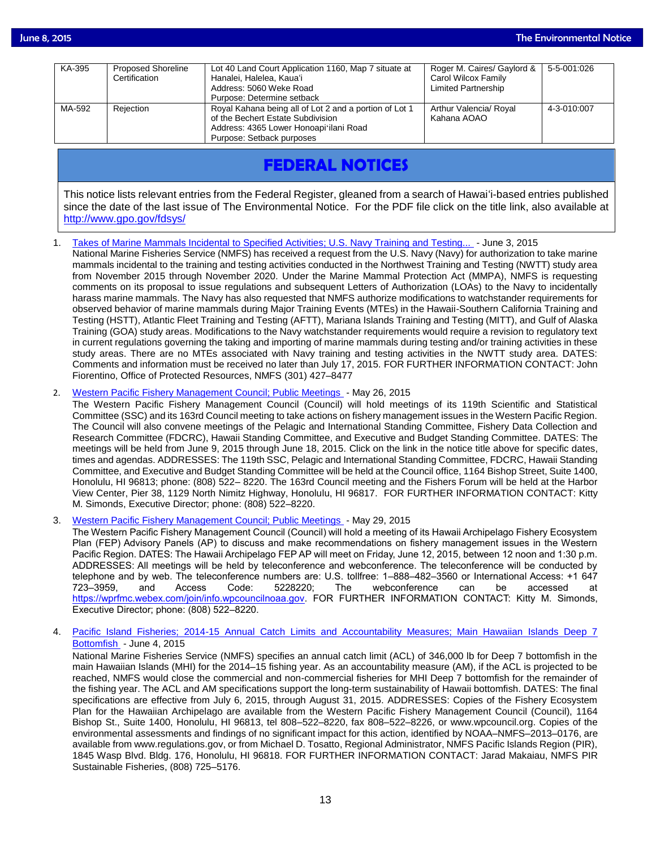| KA-395 | <b>Proposed Shoreline</b> | Lot 40 Land Court Application 1160, Map 7 situate at                                                                                  | Roger M. Caires/ Gaylord &            | 5-5-001:026 |
|--------|---------------------------|---------------------------------------------------------------------------------------------------------------------------------------|---------------------------------------|-------------|
|        | Certification             | Hanalei, Halelea, Kaua'i                                                                                                              | Carol Wilcox Family                   |             |
|        |                           | Address: 5060 Weke Road                                                                                                               | Limited Partnership                   |             |
|        |                           | Purpose: Determine setback                                                                                                            |                                       |             |
| MA-592 | Rejection                 | Royal Kahana being all of Lot 2 and a portion of Lot 1<br>of the Bechert Estate Subdivision<br>Address: 4365 Lower Honoapi'ilani Road | Arthur Valencia/ Royal<br>Kahana AOAO | 4-3-010:007 |
|        |                           | Purpose: Setback purposes                                                                                                             |                                       |             |

# **FEDERAL NOTICES**

This notice lists relevant entries from the Federal Register, gleaned from a search of Hawai'i-based entries published since the date of the last issue of The Environmental Notice. For the PDF file click on the title link, also available at <http://www.gpo.gov/fdsys/>

1. [Takes of Marine Mammals Incidental to Specified Activities; U.S. Navy Training and Testing...](http://www.gpo.gov/fdsys/pkg/FR-2015-06-03/pdf/2015-13038.pdf) - June 3, 2015

National Marine Fisheries Service (NMFS) has received a request from the U.S. Navy (Navy) for authorization to take marine mammals incidental to the training and testing activities conducted in the Northwest Training and Testing (NWTT) study area from November 2015 through November 2020. Under the Marine Mammal Protection Act (MMPA), NMFS is requesting comments on its proposal to issue regulations and subsequent Letters of Authorization (LOAs) to the Navy to incidentally harass marine mammals. The Navy has also requested that NMFS authorize modifications to watchstander requirements for observed behavior of marine mammals during Major Training Events (MTEs) in the Hawaii-Southern California Training and Testing (HSTT), Atlantic Fleet Training and Testing (AFTT), Mariana Islands Training and Testing (MITT), and Gulf of Alaska Training (GOA) study areas. Modifications to the Navy watchstander requirements would require a revision to regulatory text in current regulations governing the taking and importing of marine mammals during testing and/or training activities in these study areas. There are no MTEs associated with Navy training and testing activities in the NWTT study area. DATES: Comments and information must be received no later than July 17, 2015. FOR FURTHER INFORMATION CONTACT: John Fiorentino, Office of Protected Resources, NMFS (301) 427–8477

2. [Western Pacific Fishery Management Council; Public Meetings](http://www.gpo.gov/fdsys/pkg/FR-2015-05-26/pdf/2015-12638.pdf) - May 26, 2015

The Western Pacific Fishery Management Council (Council) will hold meetings of its 119th Scientific and Statistical Committee (SSC) and its 163rd Council meeting to take actions on fishery management issues in the Western Pacific Region. The Council will also convene meetings of the Pelagic and International Standing Committee, Fishery Data Collection and Research Committee (FDCRC), Hawaii Standing Committee, and Executive and Budget Standing Committee. DATES: The meetings will be held from June 9, 2015 through June 18, 2015. Click on the link in the notice title above for specific dates, times and agendas. ADDRESSES: The 119th SSC, Pelagic and International Standing Committee, FDCRC, Hawaii Standing Committee, and Executive and Budget Standing Committee will be held at the Council office, 1164 Bishop Street, Suite 1400, Honolulu, HI 96813; phone: (808) 522– 8220. The 163rd Council meeting and the Fishers Forum will be held at the Harbor View Center, Pier 38, 1129 North Nimitz Highway, Honolulu, HI 96817. FOR FURTHER INFORMATION CONTACT: Kitty M. Simonds, Executive Director; phone: (808) 522–8220.

3. [Western Pacific Fishery Management Council; Public Meetings](http://www.gpo.gov/fdsys/pkg/FR-2015-05-29/pdf/2015-12959.pdf) - May 29, 2015

The Western Pacific Fishery Management Council (Council) will hold a meeting of its Hawaii Archipelago Fishery Ecosystem Plan (FEP) Advisory Panels (AP) to discuss and make recommendations on fishery management issues in the Western Pacific Region. DATES: The Hawaii Archipelago FEP AP will meet on Friday, June 12, 2015, between 12 noon and 1:30 p.m. ADDRESSES: All meetings will be held by teleconference and webconference. The teleconference will be conducted by telephone and by web. The teleconference numbers are: U.S. tollfree: 1–888–482–3560 or International Access: +1 647 723–3959, and Access Code: 5228220; The webconference can be accessed at [https://wprfmc.webex.com/join/info.wpcouncilnoaa.gov.](https://wprfmc.webex.com/join/info.wpcouncilnoaa.gov) FOR FURTHER INFORMATION CONTACT: Kitty M. Simonds, Executive Director; phone: (808) 522–8220.

4. [Pacific Island Fisheries; 2014-15 Annual Catch Limits and Accountability Measures; Main Hawaiian Islands Deep 7](http://www.gpo.gov/fdsys/pkg/FR-2015-06-04/pdf/2015-13605.pdf)  [Bottomfish](http://www.gpo.gov/fdsys/pkg/FR-2015-06-04/pdf/2015-13605.pdf) - June 4, 2015

National Marine Fisheries Service (NMFS) specifies an annual catch limit (ACL) of 346,000 lb for Deep 7 bottomfish in the main Hawaiian Islands (MHI) for the 2014–15 fishing year. As an accountability measure (AM), if the ACL is projected to be reached, NMFS would close the commercial and non-commercial fisheries for MHI Deep 7 bottomfish for the remainder of the fishing year. The ACL and AM specifications support the long-term sustainability of Hawaii bottomfish. DATES: The final specifications are effective from July 6, 2015, through August 31, 2015. ADDRESSES: Copies of the Fishery Ecosystem Plan for the Hawaiian Archipelago are available from the Western Pacific Fishery Management Council (Council), 1164 Bishop St., Suite 1400, Honolulu, HI 96813, tel 808–522–8220, fax 808–522–8226, or www.wpcouncil.org. Copies of the environmental assessments and findings of no significant impact for this action, identified by NOAA–NMFS–2013–0176, are available from www.regulations.gov, or from Michael D. Tosatto, Regional Administrator, NMFS Pacific Islands Region (PIR), 1845 Wasp Blvd. Bldg. 176, Honolulu, HI 96818. FOR FURTHER INFORMATION CONTACT: Jarad Makaiau, NMFS PIR Sustainable Fisheries, (808) 725–5176.